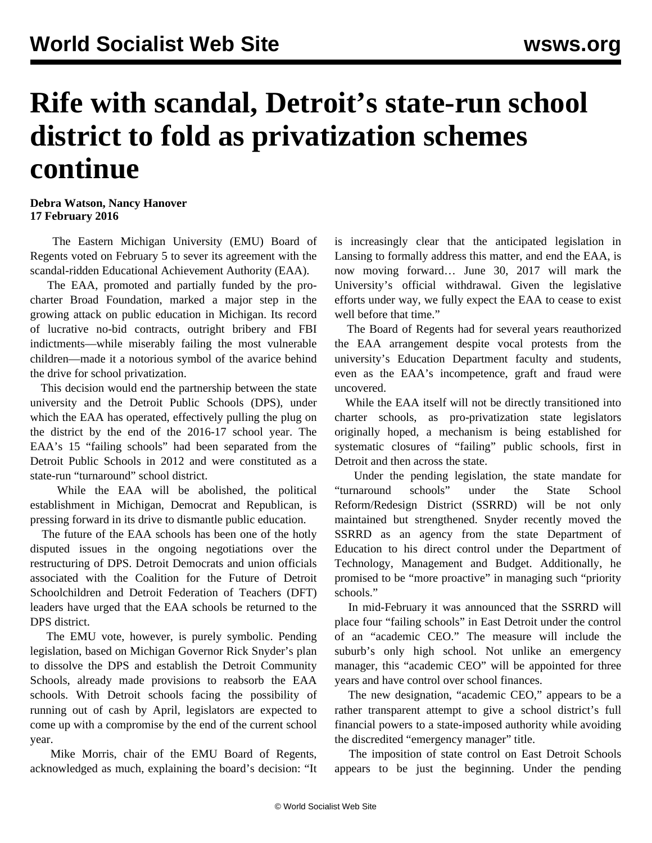## **Rife with scandal, Detroit's state-run school district to fold as privatization schemes continue**

**Debra Watson, Nancy Hanover 17 February 2016**

 The Eastern Michigan University (EMU) Board of Regents voted on February 5 to sever its agreement with the scandal-ridden Educational Achievement Authority (EAA).

 The EAA, promoted and partially funded by the procharter Broad Foundation, marked a major step in the growing attack on public education in Michigan. Its record of lucrative no-bid contracts, outright bribery and FBI indictments—while miserably failing the most vulnerable children—made it a notorious symbol of the avarice behind the drive for school privatization.

 This decision would end the partnership between the state university and the Detroit Public Schools (DPS), under which the EAA has operated, effectively pulling the plug on the district by the end of the 2016-17 school year. The EAA's 15 "failing schools" had been separated from the Detroit Public Schools in 2012 and were constituted as a state-run "turnaround" school district.

 While the EAA will be abolished, the political establishment in Michigan, Democrat and Republican, is pressing forward in its drive to dismantle public education.

 The future of the EAA schools has been one of the hotly disputed issues in the ongoing negotiations over the restructuring of DPS. Detroit Democrats and union officials associated with the Coalition for the Future of Detroit Schoolchildren and Detroit Federation of Teachers (DFT) leaders have urged that the EAA schools be returned to the DPS district.

 The EMU vote, however, is purely symbolic. Pending legislation, based on Michigan Governor Rick Snyder's plan to dissolve the DPS and establish the Detroit Community Schools, already made provisions to reabsorb the EAA schools. With Detroit schools facing the possibility of running out of cash by April, legislators are expected to come up with a compromise by the end of the current school year.

 Mike Morris, chair of the EMU Board of Regents, acknowledged as much, explaining the board's decision: "It is increasingly clear that the anticipated legislation in Lansing to formally address this matter, and end the EAA, is now moving forward… June 30, 2017 will mark the University's official withdrawal. Given the legislative efforts under way, we fully expect the EAA to cease to exist well before that time."

 The Board of Regents had for several years reauthorized the EAA arrangement despite vocal protests from the university's Education Department faculty and students, even as the EAA's incompetence, graft and fraud were uncovered.

 While the EAA itself will not be directly transitioned into charter schools, as pro-privatization state legislators originally hoped, a mechanism is being established for systematic closures of "failing" public schools, first in Detroit and then across the state.

 Under the pending legislation, the state mandate for "turnaround schools" under the State School Reform/Redesign District (SSRRD) will be not only maintained but strengthened. Snyder recently moved the SSRRD as an agency from the state Department of Education to his direct control under the Department of Technology, Management and Budget. Additionally, he promised to be "more proactive" in managing such "priority schools."

 In mid-February it was announced that the SSRRD will place four "failing schools" in East Detroit under the control of an "academic CEO." The measure will include the suburb's only high school. Not unlike an emergency manager, this "academic CEO" will be appointed for three years and have control over school finances.

 The new designation, "academic CEO," appears to be a rather transparent attempt to give a school district's full financial powers to a state-imposed authority while avoiding the discredited "emergency manager" title.

 The imposition of state control on East Detroit Schools appears to be just the beginning. Under the pending